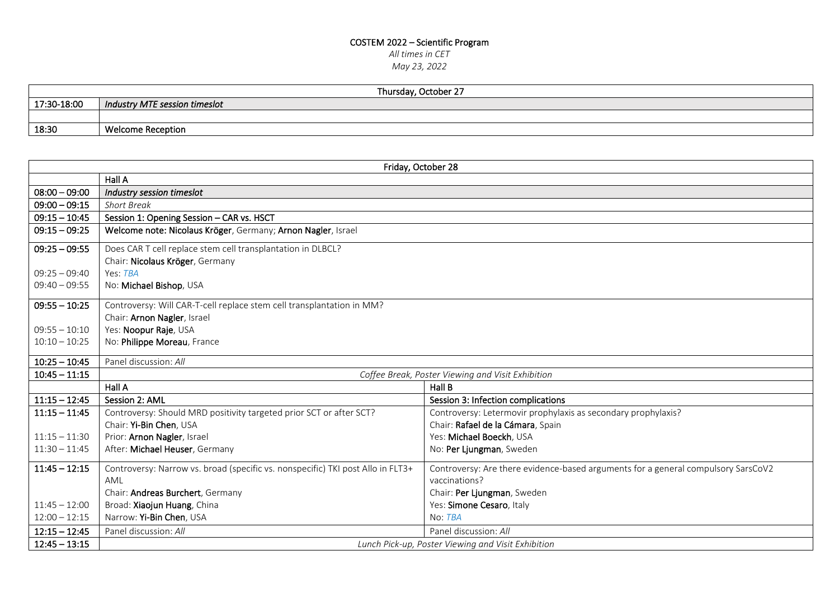## COSTEM 2022 – Scientific Program

*All times in CET*

*May 23, 2022*

| Thursday, October 27 |                               |
|----------------------|-------------------------------|
| 17:30-18:00          | Industry MTE session timeslot |
|                      |                               |
| 18:30                | <b>Welcome Reception</b>      |

| Friday, October 28 |                                                                                 |                                                                                   |
|--------------------|---------------------------------------------------------------------------------|-----------------------------------------------------------------------------------|
|                    | Hall A                                                                          |                                                                                   |
| $08:00 - 09:00$    | Industry session timeslot                                                       |                                                                                   |
| $09:00 - 09:15$    | <b>Short Break</b>                                                              |                                                                                   |
| $09:15 - 10:45$    | Session 1: Opening Session - CAR vs. HSCT                                       |                                                                                   |
| $09:15 - 09:25$    | Welcome note: Nicolaus Kröger, Germany; Arnon Nagler, Israel                    |                                                                                   |
| $09:25 - 09:55$    | Does CAR T cell replace stem cell transplantation in DLBCL?                     |                                                                                   |
|                    | Chair: Nicolaus Kröger, Germany                                                 |                                                                                   |
| $09:25 - 09:40$    | Yes: TBA                                                                        |                                                                                   |
| $09:40 - 09:55$    | No: Michael Bishop, USA                                                         |                                                                                   |
| $09:55 - 10:25$    | Controversy: Will CAR-T-cell replace stem cell transplantation in MM?           |                                                                                   |
|                    | Chair: Arnon Nagler, Israel                                                     |                                                                                   |
| $09:55 - 10:10$    | Yes: Noopur Raje, USA                                                           |                                                                                   |
| $10:10 - 10:25$    | No: Philippe Moreau, France                                                     |                                                                                   |
| $10:25 - 10:45$    | Panel discussion: All                                                           |                                                                                   |
| $10:45 - 11:15$    |                                                                                 | Coffee Break, Poster Viewing and Visit Exhibition                                 |
|                    | Hall A                                                                          | Hall B                                                                            |
| $11:15 - 12:45$    | Session 2: AML                                                                  | Session 3: Infection complications                                                |
| $11:15 - 11:45$    | Controversy: Should MRD positivity targeted prior SCT or after SCT?             | Controversy: Letermovir prophylaxis as secondary prophylaxis?                     |
|                    | Chair: Yi-Bin Chen, USA                                                         | Chair: Rafael de la Cámara, Spain                                                 |
| $11:15 - 11:30$    | Prior: Arnon Nagler, Israel                                                     | Yes: Michael Boeckh, USA                                                          |
| $11:30 - 11:45$    | After: Michael Heuser, Germany                                                  | No: Per Ljungman, Sweden                                                          |
| $11:45 - 12:15$    | Controversy: Narrow vs. broad (specific vs. nonspecific) TKI post Allo in FLT3+ | Controversy: Are there evidence-based arguments for a general compulsory SarsCoV2 |
|                    | AML                                                                             | vaccinations?                                                                     |
|                    | Chair: Andreas Burchert, Germany                                                | Chair: Per Ljungman, Sweden                                                       |
| $11:45 - 12:00$    | Broad: Xiaojun Huang, China                                                     | Yes: Simone Cesaro, Italy                                                         |
| $12:00 - 12:15$    | Narrow: Yi-Bin Chen, USA                                                        | No: TBA                                                                           |
| $12:15 - 12:45$    | Panel discussion: All                                                           | Panel discussion: All                                                             |
| $12:45 - 13:15$    |                                                                                 | Lunch Pick-up, Poster Viewing and Visit Exhibition                                |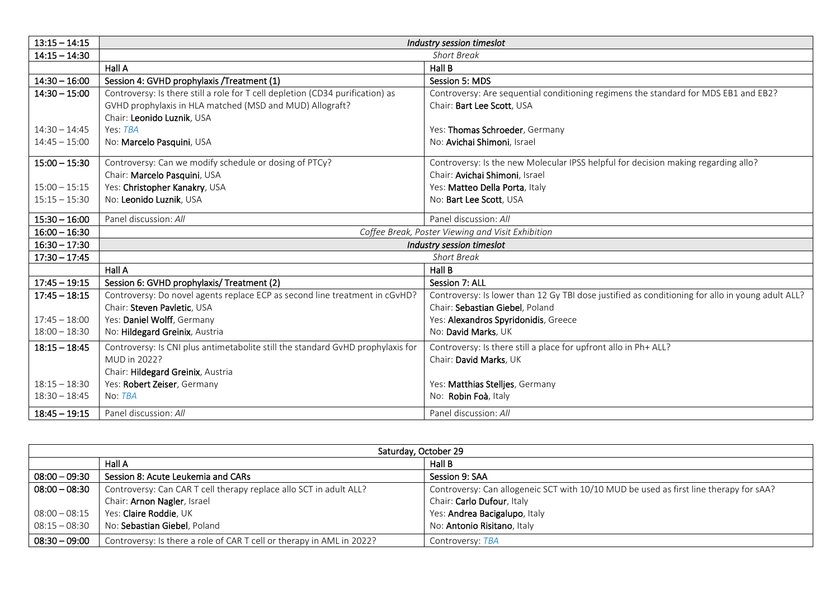| $13:15 - 14:15$ |                                                                                 | Industry session timeslot                                                                        |
|-----------------|---------------------------------------------------------------------------------|--------------------------------------------------------------------------------------------------|
| $14:15 - 14:30$ | <b>Short Break</b>                                                              |                                                                                                  |
|                 | Hall A                                                                          | Hall B                                                                                           |
| $14:30 - 16:00$ | Session 4: GVHD prophylaxis / Treatment (1)                                     | Session 5: MDS                                                                                   |
| $14:30 - 15:00$ | Controversy: Is there still a role for T cell depletion (CD34 purification) as  | Controversy: Are sequential conditioning regimens the standard for MDS EB1 and EB2?              |
|                 | GVHD prophylaxis in HLA matched (MSD and MUD) Allograft?                        | Chair: Bart Lee Scott, USA                                                                       |
|                 | Chair: Leonido Luznik, USA                                                      |                                                                                                  |
| $14:30 - 14:45$ | Yes: TBA                                                                        | Yes: Thomas Schroeder, Germany                                                                   |
| $14:45 - 15:00$ | No: Marcelo Pasquini, USA                                                       | No: Avichai Shimoni, Israel                                                                      |
| $15:00 - 15:30$ | Controversy: Can we modify schedule or dosing of PTCy?                          | Controversy: Is the new Molecular IPSS helpful for decision making regarding allo?               |
|                 | Chair: Marcelo Pasquini, USA                                                    | Chair: Avichai Shimoni, Israel                                                                   |
| $15:00 - 15:15$ | Yes: Christopher Kanakry, USA                                                   | Yes: Matteo Della Porta, Italy                                                                   |
| $15:15 - 15:30$ | No: Leonido Luznik, USA                                                         | No: Bart Lee Scott, USA                                                                          |
|                 |                                                                                 |                                                                                                  |
| $15:30 - 16:00$ | Panel discussion: All                                                           | Panel discussion: All                                                                            |
| $16:00 - 16:30$ |                                                                                 | Coffee Break, Poster Viewing and Visit Exhibition                                                |
| $16:30 - 17:30$ |                                                                                 | Industry session timeslot                                                                        |
| $17:30 - 17:45$ |                                                                                 | <b>Short Break</b>                                                                               |
|                 | Hall A                                                                          | Hall B                                                                                           |
| $17:45 - 19:15$ | Session 6: GVHD prophylaxis/ Treatment (2)                                      | Session 7: ALL                                                                                   |
| $17:45 - 18:15$ | Controversy: Do novel agents replace ECP as second line treatment in cGvHD?     | Controversy: Is lower than 12 Gy TBI dose justified as conditioning for allo in young adult ALL? |
|                 | Chair: Steven Pavletic, USA                                                     | Chair: Sebastian Giebel, Poland                                                                  |
| $17:45 - 18:00$ | Yes: Daniel Wolff, Germany                                                      | Yes: Alexandros Spyridonidis, Greece                                                             |
| $18:00 - 18:30$ | No: Hildegard Greinix, Austria                                                  | No: David Marks, UK                                                                              |
| $18:15 - 18:45$ | Controversy: Is CNI plus antimetabolite still the standard GvHD prophylaxis for | Controversy: Is there still a place for upfront allo in Ph+ ALL?                                 |
|                 | MUD in 2022?                                                                    | Chair: David Marks, UK                                                                           |
|                 | Chair: Hildegard Greinix, Austria                                               |                                                                                                  |
| $18:15 - 18:30$ | Yes: Robert Zeiser, Germany                                                     | Yes: Matthias Stelljes, Germany                                                                  |
| $18:30 - 18:45$ | No: TBA                                                                         | No: Robin Foà, Italy                                                                             |
| $18:45 - 19:15$ | Panel discussion: All                                                           | Panel discussion: All                                                                            |

| Saturday, October 29 |                                                                       |                                                                                       |
|----------------------|-----------------------------------------------------------------------|---------------------------------------------------------------------------------------|
|                      | Hall A                                                                | Hall B                                                                                |
| $08:00 - 09:30$      | Session 8: Acute Leukemia and CARs                                    | Session 9: SAA                                                                        |
| $08:00 - 08:30$      | Controversy: Can CAR T cell therapy replace allo SCT in adult ALL?    | Controversy: Can allogeneic SCT with 10/10 MUD be used as first line therapy for sAA? |
|                      | Chair: Arnon Nagler, Israel                                           | Chair: Carlo Dufour, Italy                                                            |
| $08:00 - 08:15$      | Yes: Claire Roddie, UK                                                | Yes: Andrea Bacigalupo, Italy                                                         |
| $08:15 - 08:30$      | No: Sebastian Giebel, Poland                                          | No: Antonio Risitano, Italy                                                           |
| $08:30 - 09:00$      | Controversy: Is there a role of CAR T cell or therapy in AML in 2022? | Controversy: TBA                                                                      |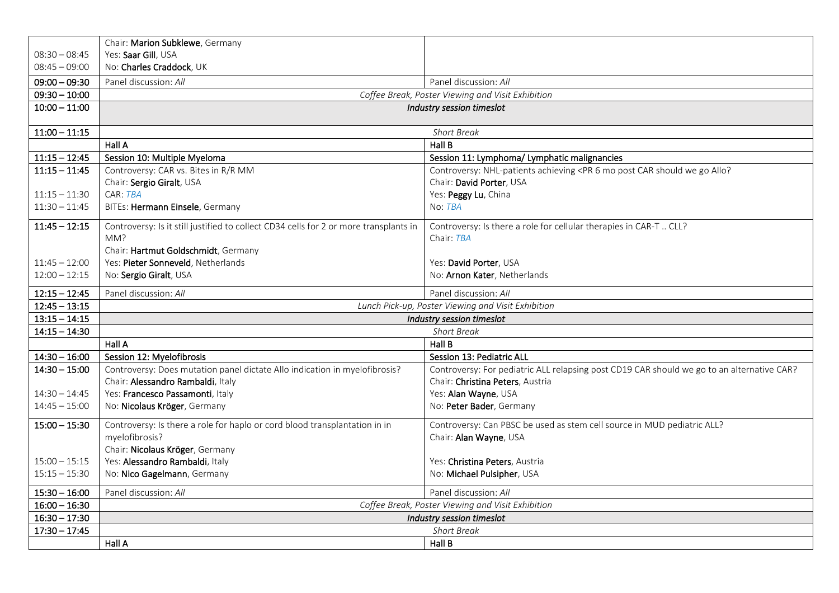|                 | Chair: Marion Subklewe, Germany                                                       |                                                                                                               |
|-----------------|---------------------------------------------------------------------------------------|---------------------------------------------------------------------------------------------------------------|
| $08:30 - 08:45$ | Yes: Saar Gill, USA                                                                   |                                                                                                               |
| $08:45 - 09:00$ | No: Charles Craddock, UK                                                              |                                                                                                               |
| $09:00 - 09:30$ | Panel discussion: All                                                                 | Panel discussion: All                                                                                         |
| $09:30 - 10:00$ |                                                                                       | Coffee Break, Poster Viewing and Visit Exhibition                                                             |
| $10:00 - 11:00$ |                                                                                       | Industry session timeslot                                                                                     |
| $11:00 - 11:15$ |                                                                                       | <b>Short Break</b>                                                                                            |
|                 | Hall A                                                                                | Hall B                                                                                                        |
| $11:15 - 12:45$ | Session 10: Multiple Myeloma                                                          | Session 11: Lymphoma/ Lymphatic malignancies                                                                  |
| $11:15 - 11:45$ | Controversy: CAR vs. Bites in R/R MM                                                  | Controversy: NHL-patients achieving <pr 6="" allo?<="" car="" go="" mo="" post="" should="" th="" we=""></pr> |
|                 | Chair: Sergio Giralt, USA                                                             | Chair: David Porter, USA                                                                                      |
| $11:15 - 11:30$ | CAR: TBA                                                                              | Yes: Peggy Lu, China                                                                                          |
| $11:30 - 11:45$ | BITEs: Hermann Einsele, Germany                                                       | No: TBA                                                                                                       |
| $11:45 - 12:15$ | Controversy: Is it still justified to collect CD34 cells for 2 or more transplants in | Controversy: Is there a role for cellular therapies in CAR-T  CLL?                                            |
|                 | MM?                                                                                   | Chair: TBA                                                                                                    |
|                 | Chair: Hartmut Goldschmidt, Germany                                                   |                                                                                                               |
| $11:45 - 12:00$ | Yes: Pieter Sonneveld, Netherlands                                                    | Yes: David Porter, USA                                                                                        |
| $12:00 - 12:15$ | No: Sergio Giralt, USA                                                                | No: Arnon Kater, Netherlands                                                                                  |
| $12:15 - 12:45$ | Panel discussion: All                                                                 | Panel discussion: All                                                                                         |
| $12:45 - 13:15$ |                                                                                       | Lunch Pick-up, Poster Viewing and Visit Exhibition                                                            |
| $13:15 - 14:15$ |                                                                                       | Industry session timeslot                                                                                     |
| $14:15 - 14:30$ |                                                                                       | <b>Short Break</b>                                                                                            |
|                 | Hall A                                                                                | Hall B                                                                                                        |
| $14:30 - 16:00$ | Session 12: Myelofibrosis                                                             | Session 13: Pediatric ALL                                                                                     |
| $14:30 - 15:00$ | Controversy: Does mutation panel dictate Allo indication in myelofibrosis?            | Controversy: For pediatric ALL relapsing post CD19 CAR should we go to an alternative CAR?                    |
|                 | Chair: Alessandro Rambaldi, Italy                                                     | Chair: Christina Peters, Austria                                                                              |
| $14:30 - 14:45$ | Yes: Francesco Passamonti, Italy                                                      | Yes: Alan Wayne, USA                                                                                          |
| $14:45 - 15:00$ | No: Nicolaus Kröger, Germany                                                          | No: Peter Bader, Germany                                                                                      |
| $15:00 - 15:30$ | Controversy: Is there a role for haplo or cord blood transplantation in in            | Controversy: Can PBSC be used as stem cell source in MUD pediatric ALL?                                       |
|                 | myelofibrosis?                                                                        | Chair: Alan Wayne, USA                                                                                        |
|                 | Chair: Nicolaus Kröger, Germany                                                       |                                                                                                               |
| $15:00 - 15:15$ | Yes: Alessandro Rambaldi, Italy                                                       | Yes: Christina Peters, Austria                                                                                |
| $15:15 - 15:30$ | No: Nico Gagelmann, Germany                                                           | No: Michael Pulsipher, USA                                                                                    |
| $15:30 - 16:00$ | Panel discussion: All                                                                 | Panel discussion: All                                                                                         |
| $16:00 - 16:30$ |                                                                                       | Coffee Break, Poster Viewing and Visit Exhibition                                                             |
| $16:30 - 17:30$ | Industry session timeslot                                                             |                                                                                                               |
| $17:30 - 17:45$ |                                                                                       | <b>Short Break</b>                                                                                            |
|                 | Hall A                                                                                | Hall B                                                                                                        |